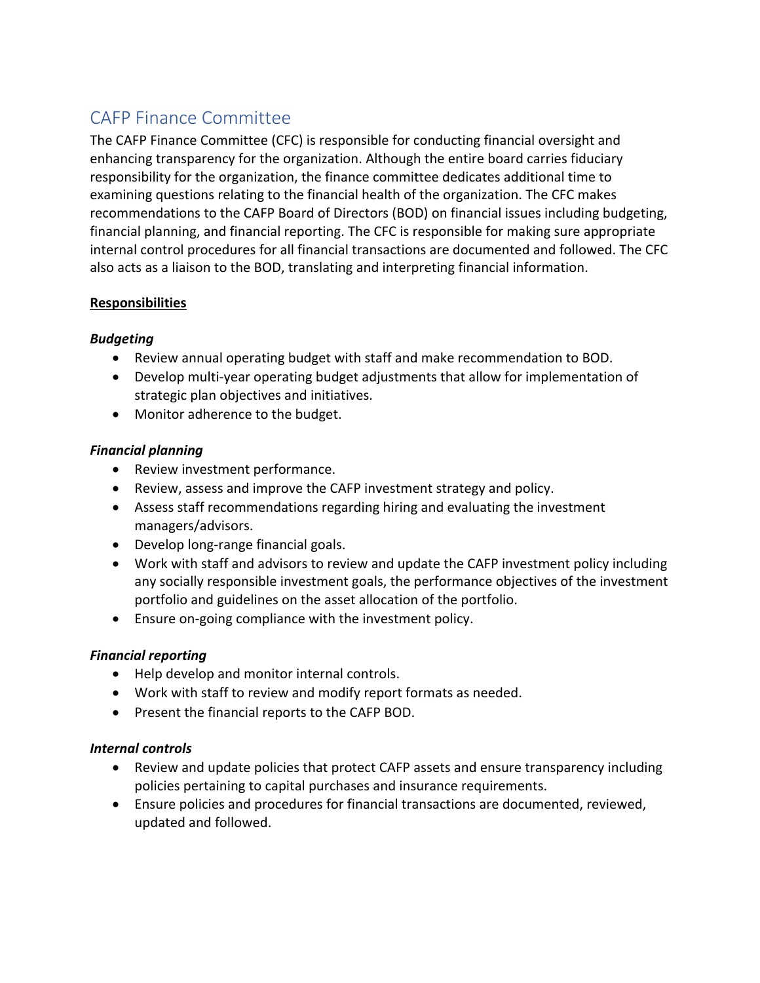# CAFP Finance Committee

The CAFP Finance Committee (CFC) is responsible for conducting financial oversight and enhancing transparency for the organization. Although the entire board carries fiduciary responsibility for the organization, the finance committee dedicates additional time to examining questions relating to the financial health of the organization. The CFC makes recommendations to the CAFP Board of Directors (BOD) on financial issues including budgeting, financial planning, and financial reporting. The CFC is responsible for making sure appropriate internal control procedures for all financial transactions are documented and followed. The CFC also acts as a liaison to the BOD, translating and interpreting financial information.

# **Responsibilities**

# *Budgeting*

- Review annual operating budget with staff and make recommendation to BOD.
- Develop multi-year operating budget adjustments that allow for implementation of strategic plan objectives and initiatives.
- Monitor adherence to the budget.

## *Financial planning*

- Review investment performance.
- Review, assess and improve the CAFP investment strategy and policy.
- Assess staff recommendations regarding hiring and evaluating the investment managers/advisors.
- Develop long-range financial goals.
- Work with staff and advisors to review and update the CAFP investment policy including any socially responsible investment goals, the performance objectives of the investment portfolio and guidelines on the asset allocation of the portfolio.
- Ensure on-going compliance with the investment policy.

# *Financial reporting*

- Help develop and monitor internal controls.
- Work with staff to review and modify report formats as needed.
- Present the financial reports to the CAFP BOD.

## *Internal controls*

- Review and update policies that protect CAFP assets and ensure transparency including policies pertaining to capital purchases and insurance requirements.
- Ensure policies and procedures for financial transactions are documented, reviewed, updated and followed.